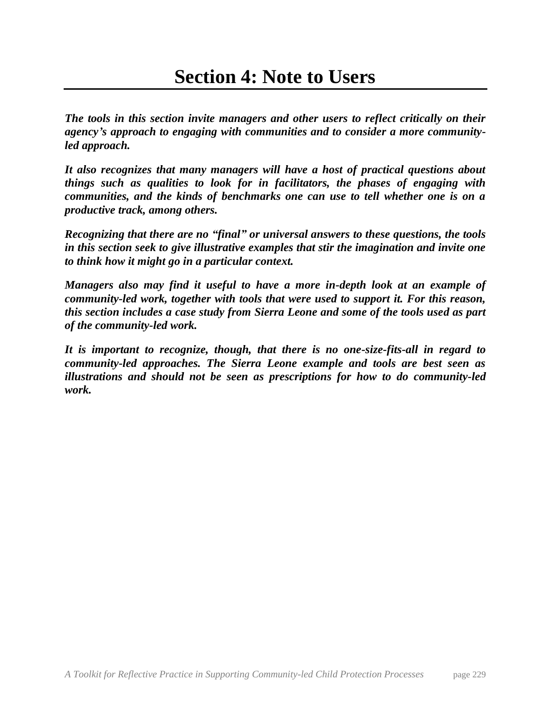*The tools in this section invite managers and other users to reflect critically on their agency's approach to engaging with communities and to consider a more communityled approach.* 

*It also recognizes that many managers will have a host of practical questions about things such as qualities to look for in facilitators, the phases of engaging with communities, and the kinds of benchmarks one can use to tell whether one is on a productive track, among others.* 

*Recognizing that there are no "final" or universal answers to these questions, the tools in this section seek to give illustrative examples that stir the imagination and invite one to think how it might go in a particular context.*

*Managers also may find it useful to have a more in-depth look at an example of community-led work, together with tools that were used to support it. For this reason, this section includes a case study from Sierra Leone and some of the tools used as part of the community-led work.* 

*It is important to recognize, though, that there is no one-size-fits-all in regard to community-led approaches. The Sierra Leone example and tools are best seen as illustrations and should not be seen as prescriptions for how to do community-led work.*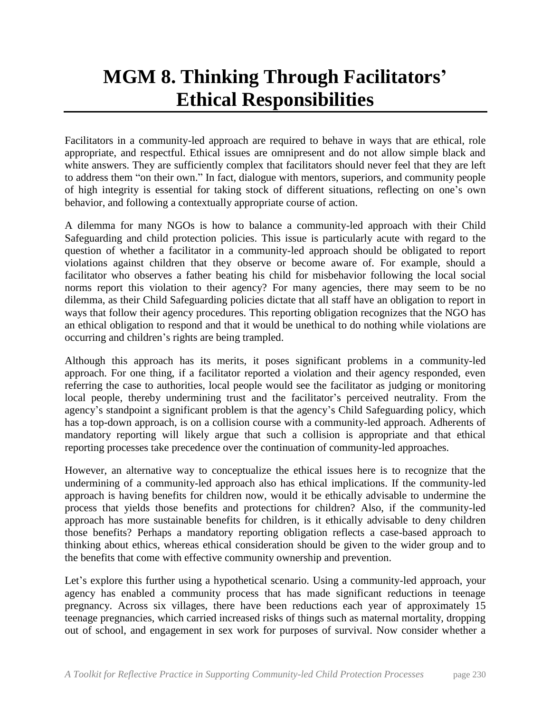## **MGM 8. Thinking Through Facilitators' Ethical Responsibilities**

Facilitators in a community-led approach are required to behave in ways that are ethical, role appropriate, and respectful. Ethical issues are omnipresent and do not allow simple black and white answers. They are sufficiently complex that facilitators should never feel that they are left to address them "on their own." In fact, dialogue with mentors, superiors, and community people of high integrity is essential for taking stock of different situations, reflecting on one's own behavior, and following a contextually appropriate course of action.

A dilemma for many NGOs is how to balance a community-led approach with their Child Safeguarding and child protection policies. This issue is particularly acute with regard to the question of whether a facilitator in a community-led approach should be obligated to report violations against children that they observe or become aware of. For example, should a facilitator who observes a father beating his child for misbehavior following the local social norms report this violation to their agency? For many agencies, there may seem to be no dilemma, as their Child Safeguarding policies dictate that all staff have an obligation to report in ways that follow their agency procedures. This reporting obligation recognizes that the NGO has an ethical obligation to respond and that it would be unethical to do nothing while violations are occurring and children's rights are being trampled.

Although this approach has its merits, it poses significant problems in a community-led approach. For one thing, if a facilitator reported a violation and their agency responded, even referring the case to authorities, local people would see the facilitator as judging or monitoring local people, thereby undermining trust and the facilitator's perceived neutrality. From the agency's standpoint a significant problem is that the agency's Child Safeguarding policy, which has a top-down approach, is on a collision course with a community-led approach. Adherents of mandatory reporting will likely argue that such a collision is appropriate and that ethical reporting processes take precedence over the continuation of community-led approaches.

However, an alternative way to conceptualize the ethical issues here is to recognize that the undermining of a community-led approach also has ethical implications. If the community-led approach is having benefits for children now, would it be ethically advisable to undermine the process that yields those benefits and protections for children? Also, if the community-led approach has more sustainable benefits for children, is it ethically advisable to deny children those benefits? Perhaps a mandatory reporting obligation reflects a case-based approach to thinking about ethics, whereas ethical consideration should be given to the wider group and to the benefits that come with effective community ownership and prevention.

Let's explore this further using a hypothetical scenario. Using a community-led approach, your agency has enabled a community process that has made significant reductions in teenage pregnancy. Across six villages, there have been reductions each year of approximately 15 teenage pregnancies, which carried increased risks of things such as maternal mortality, dropping out of school, and engagement in sex work for purposes of survival. Now consider whether a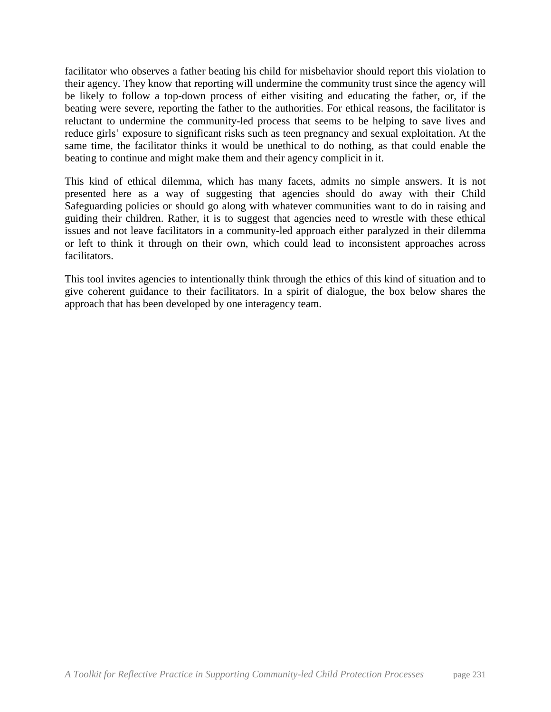facilitator who observes a father beating his child for misbehavior should report this violation to their agency. They know that reporting will undermine the community trust since the agency will be likely to follow a top-down process of either visiting and educating the father, or, if the beating were severe, reporting the father to the authorities. For ethical reasons, the facilitator is reluctant to undermine the community-led process that seems to be helping to save lives and reduce girls' exposure to significant risks such as teen pregnancy and sexual exploitation. At the same time, the facilitator thinks it would be unethical to do nothing, as that could enable the beating to continue and might make them and their agency complicit in it.

This kind of ethical dilemma, which has many facets, admits no simple answers. It is not presented here as a way of suggesting that agencies should do away with their Child Safeguarding policies or should go along with whatever communities want to do in raising and guiding their children. Rather, it is to suggest that agencies need to wrestle with these ethical issues and not leave facilitators in a community-led approach either paralyzed in their dilemma or left to think it through on their own, which could lead to inconsistent approaches across facilitators.

This tool invites agencies to intentionally think through the ethics of this kind of situation and to give coherent guidance to their facilitators. In a spirit of dialogue, the box below shares the approach that has been developed by one interagency team.